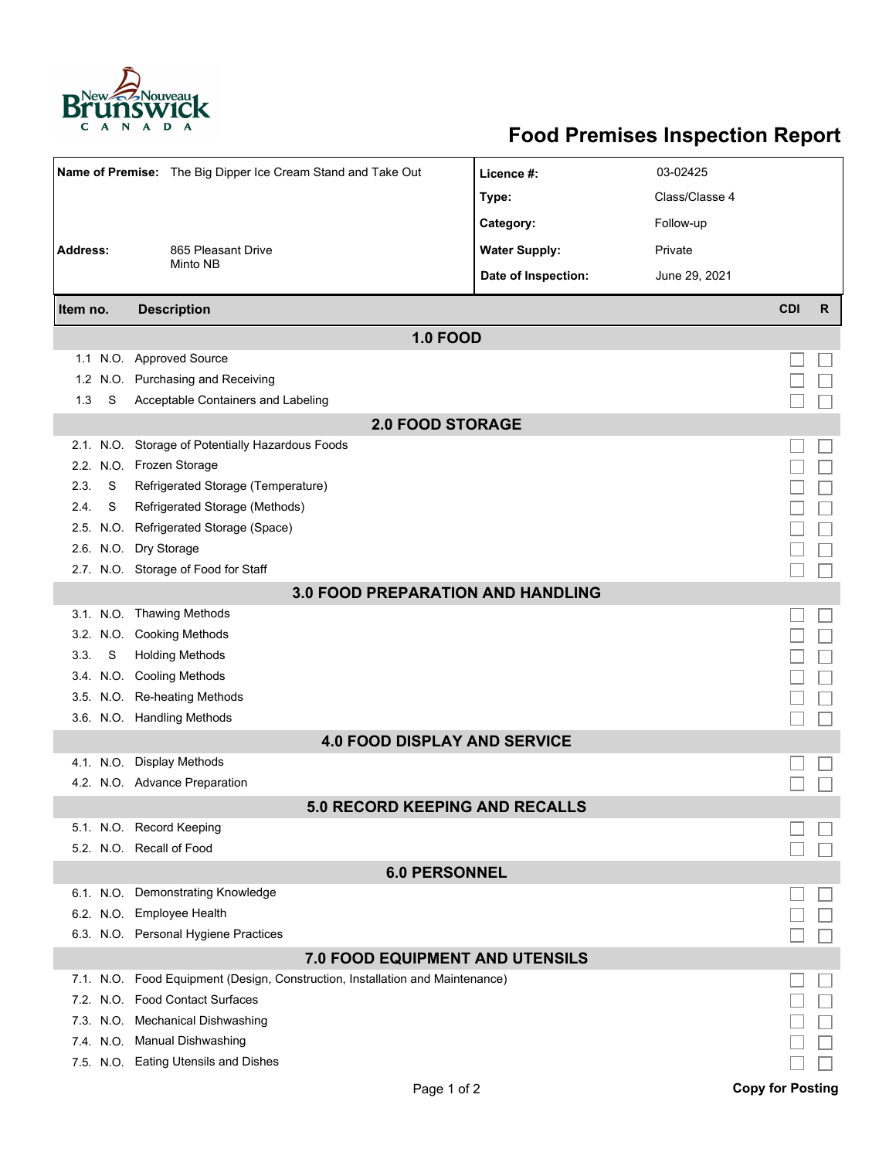

## **Food Premises Inspection Report**

| Name of Premise: The Big Dipper Ice Cream Stand and Take Out |           |                                                                               | Licence #:           | 03-02425       |            |              |  |  |  |  |
|--------------------------------------------------------------|-----------|-------------------------------------------------------------------------------|----------------------|----------------|------------|--------------|--|--|--|--|
|                                                              |           |                                                                               | Type:                | Class/Classe 4 |            |              |  |  |  |  |
|                                                              |           |                                                                               | Category:            | Follow-up      |            |              |  |  |  |  |
| <b>Address:</b>                                              |           | 865 Pleasant Drive                                                            | <b>Water Supply:</b> | Private        |            |              |  |  |  |  |
|                                                              |           | Minto NB                                                                      | Date of Inspection:  | June 29, 2021  |            |              |  |  |  |  |
|                                                              |           |                                                                               |                      |                |            |              |  |  |  |  |
| Item no.                                                     |           | <b>Description</b>                                                            |                      |                | <b>CDI</b> | $\mathsf{R}$ |  |  |  |  |
| <b>1.0 FOOD</b>                                              |           |                                                                               |                      |                |            |              |  |  |  |  |
|                                                              |           | 1.1 N.O. Approved Source                                                      |                      |                |            |              |  |  |  |  |
| 1.2 <sub>1</sub>                                             |           | N.O. Purchasing and Receiving                                                 |                      |                |            |              |  |  |  |  |
| 1.3                                                          | S         | Acceptable Containers and Labeling                                            |                      |                |            |              |  |  |  |  |
| <b>2.0 FOOD STORAGE</b>                                      |           |                                                                               |                      |                |            |              |  |  |  |  |
|                                                              |           | 2.1. N.O. Storage of Potentially Hazardous Foods                              |                      |                |            |              |  |  |  |  |
|                                                              |           | 2.2. N.O. Frozen Storage                                                      |                      |                |            |              |  |  |  |  |
| 2.3.                                                         | S         | Refrigerated Storage (Temperature)                                            |                      |                |            |              |  |  |  |  |
| 2.4.                                                         | S         | Refrigerated Storage (Methods)                                                |                      |                |            |              |  |  |  |  |
|                                                              | 2.5. N.O. | Refrigerated Storage (Space)                                                  |                      |                |            |              |  |  |  |  |
|                                                              |           | 2.6. N.O. Dry Storage                                                         |                      |                |            |              |  |  |  |  |
|                                                              |           | 2.7. N.O. Storage of Food for Staff                                           |                      |                |            |              |  |  |  |  |
| <b>3.0 FOOD PREPARATION AND HANDLING</b>                     |           |                                                                               |                      |                |            |              |  |  |  |  |
|                                                              |           | 3.1. N.O. Thawing Methods                                                     |                      |                |            |              |  |  |  |  |
|                                                              |           | 3.2. N.O. Cooking Methods                                                     |                      |                |            |              |  |  |  |  |
| 3.3.                                                         | S         | <b>Holding Methods</b>                                                        |                      |                |            |              |  |  |  |  |
|                                                              |           | 3.4. N.O. Cooling Methods                                                     |                      |                |            |              |  |  |  |  |
|                                                              |           | 3.5. N.O. Re-heating Methods                                                  |                      |                |            |              |  |  |  |  |
|                                                              |           | 3.6. N.O. Handling Methods                                                    |                      |                |            |              |  |  |  |  |
|                                                              |           | <b>4.0 FOOD DISPLAY AND SERVICE</b>                                           |                      |                |            |              |  |  |  |  |
|                                                              |           | 4.1. N.O. Display Methods                                                     |                      |                |            |              |  |  |  |  |
|                                                              |           | 4.2. N.O. Advance Preparation                                                 |                      |                |            |              |  |  |  |  |
|                                                              |           | <b>5.0 RECORD KEEPING AND RECALLS</b>                                         |                      |                |            |              |  |  |  |  |
|                                                              |           | 5.1. N.O. Record Keeping                                                      |                      |                |            |              |  |  |  |  |
|                                                              |           | 5.2. N.O. Recall of Food                                                      |                      |                |            |              |  |  |  |  |
| <b>6.0 PERSONNEL</b>                                         |           |                                                                               |                      |                |            |              |  |  |  |  |
|                                                              |           | 6.1. N.O. Demonstrating Knowledge                                             |                      |                |            |              |  |  |  |  |
|                                                              |           | 6.2. N.O. Employee Health                                                     |                      |                |            |              |  |  |  |  |
|                                                              |           | 6.3. N.O. Personal Hygiene Practices                                          |                      |                |            |              |  |  |  |  |
|                                                              |           | <b>7.0 FOOD EQUIPMENT AND UTENSILS</b>                                        |                      |                |            |              |  |  |  |  |
|                                                              |           | 7.1. N.O. Food Equipment (Design, Construction, Installation and Maintenance) |                      |                |            |              |  |  |  |  |
|                                                              |           | 7.2. N.O. Food Contact Surfaces                                               |                      |                |            |              |  |  |  |  |
|                                                              |           | 7.3. N.O. Mechanical Dishwashing                                              |                      |                |            |              |  |  |  |  |
|                                                              |           | 7.4. N.O. Manual Dishwashing                                                  |                      |                |            |              |  |  |  |  |
|                                                              |           | 7.5. N.O. Eating Utensils and Dishes                                          |                      |                |            |              |  |  |  |  |